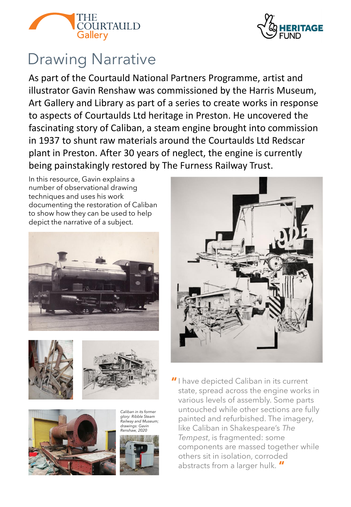



# Drawing Narrative

As part of the Courtauld National Partners Programme, artist and illustrator Gavin Renshaw was commissioned by the Harris Museum, Art Gallery and Library as part of a series to create works in response to aspects of Courtaulds Ltd heritage in Preston. He uncovered the fascinating story of Caliban, a steam engine brought into commission in 1937 to shunt raw materials around the Courtaulds Ltd Redscar plant in Preston. After 30 years of neglect, the engine is currently being painstakingly restored by The Furness Railway Trust.

In this resource, Gavin explains a number of observational drawing techniques and uses his work documenting the restoration of Caliban to show how they can be used to help depict the narrative of a subject.







*Caliban in its former glory: Ribble Steam Railway and Museum; drawings: Gavin Renshaw, 2020*





I have depicted Caliban in its current **"** state, spread across the engine works in various levels of assembly. Some parts untouched while other sections are fully painted and refurbished. The imagery, like Caliban in Shakespeare's *The Tempest*, is fragmented: some components are massed together while others sit in isolation, corroded abstracts from a larger hulk. **"**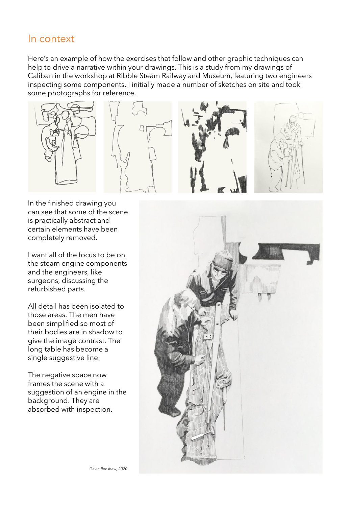### In context

Here's an example of how the exercises that follow and other graphic techniques can help to drive a narrative within your drawings. This is a study from my drawings of Caliban in the workshop at Ribble Steam Railway and Museum, featuring two engineers inspecting some components. I initially made a number of sketches on site and took some photographs for reference.









In the finished drawing you can see that some of the scene is practically abstract and certain elements have been completely removed.

I want all of the focus to be on the steam engine components and the engineers, like surgeons, discussing the refurbished parts.

All detail has been isolated to those areas. The men have been simplified so most of their bodies are in shadow to give the image contrast. The long table has become a single suggestive line.

The negative space now frames the scene with a suggestion of an engine in the background. They are absorbed with inspection.

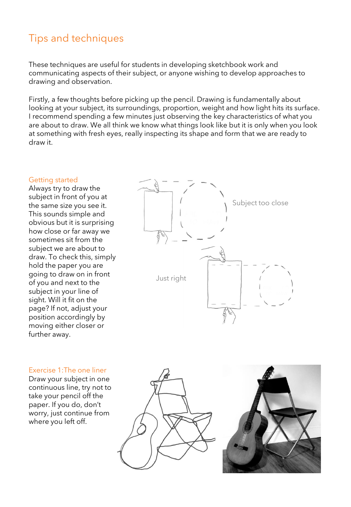## Tips and techniques

These techniques are useful for students in developing sketchbook work and communicating aspects of their subject, or anyone wishing to develop approaches to drawing and observation.

Firstly, a few thoughts before picking up the pencil. Drawing is fundamentally about looking at your subject, its surroundings, proportion, weight and how light hits its surface. I recommend spending a few minutes just observing the key characteristics of what you are about to draw. We all think we know what things look like but it is only when you look at something with fresh eyes, really inspecting its shape and form that we are ready to draw it.

#### Getting started

Always try to draw the subject in front of you at the same size you see it. This sounds simple and obvious but it is surprising how close or far away we sometimes sit from the subject we are about to draw. To check this, simply hold the paper you are going to draw on in front of you and next to the subject in your line of sight. Will it fit on the page? If not, adjust your position accordingly by moving either closer or further away.



#### Exercise 1:The one liner

Draw your subject in one continuous line, try not to take your pencil off the paper. If you do, don't worry, just continue from where you left off.



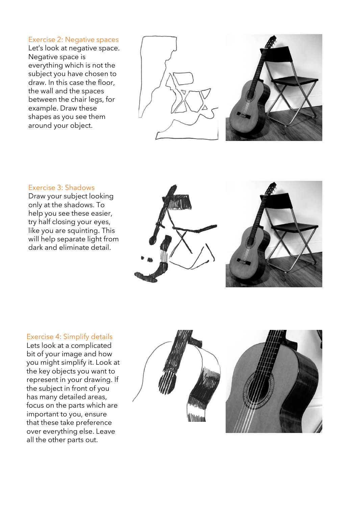#### Exercise 2: Negative spaces

Let's look at negative space. Negative space is everything which is not the subject you have chosen to draw. In this case the floor, the wall and the spaces between the chair legs, for example. Draw these shapes as you see them around your object.





#### Exercise 3: Shadows

Draw your subject looking only at the shadows. To help you see these easier, try half closing your eyes, like you are squinting. This will help separate light from dark and eliminate detail.





#### Exercise 4: Simplify details

Lets look at a complicated bit of your image and how you might simplify it. Look at the key objects you want to represent in your drawing. If the subject in front of you has many detailed areas, focus on the parts which are important to you, ensure that these take preference over everything else. Leave all the other parts out.